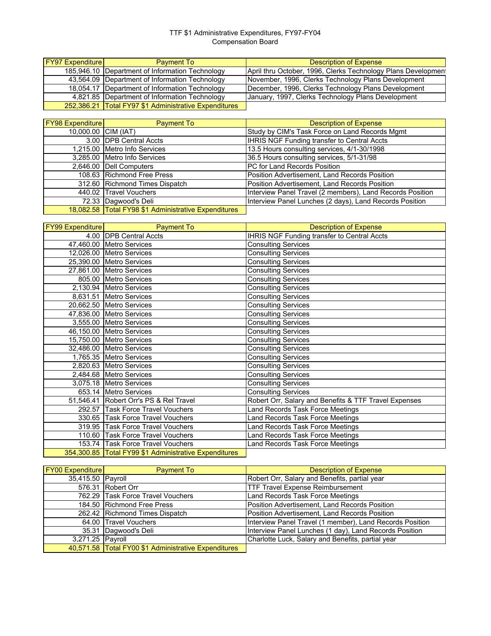## TTF \$1 Administrative Expenditures, FY97-FY04 Compensation Board

| <b>FY97 Expenditure</b> | <b>Payment To</b>                                       | Description of Expense                                        |
|-------------------------|---------------------------------------------------------|---------------------------------------------------------------|
|                         | 185,946.10   Department of Information Technology       | April thru October, 1996, Clerks Technology Plans Development |
|                         | 43,564.09   Department of Information Technology        | November, 1996, Clerks Technology Plans Development           |
|                         | 18,054.17   Department of Information Technology        | December, 1996, Clerks Technology Plans Development           |
|                         | 4,821.85   Department of Information Technology         | January, 1997, Clerks Technology Plans Development            |
|                         | 252,386.21   Total FY97 \$1 Administrative Expenditures |                                                               |

| <b>FY98 Expenditure</b> | <b>Payment To</b>                                    | <b>Description of Expense</b>                             |
|-------------------------|------------------------------------------------------|-----------------------------------------------------------|
| 10.000.00 CIM (IAT)     |                                                      | Study by CIM's Task Force on Land Records Mgmt            |
|                         | 3.00 DPB Central Accts                               | IHRIS NGF Funding transfer to Central Accts               |
|                         | 1,215.00 Metro Info Services                         | 13.5 Hours consulting services, 4/1-30/1998               |
|                         | 3,285.00 Metro Info Services                         | 36.5 Hours consulting services, 5/1-31/98                 |
|                         | 2,646.00 Dell Computers                              | PC for Land Records Position                              |
|                         | 108.63 Richmond Free Press                           | Position Advertisement, Land Records Position             |
|                         | 312.60 Richmond Times Dispatch                       | Position Advertisement, Land Records Position             |
|                         | 440.02 Travel Vouchers                               | Interview Panel Travel (2 members), Land Records Position |
|                         | 72.33 Dagwood's Deli                                 | Interview Panel Lunches (2 days), Land Records Position   |
|                         | 18,082.58 Total FY98 \$1 Administrative Expenditures |                                                           |

| <b>FY99 Expenditure</b> | <b>Payment To</b>                                     | <b>Description of Expense</b>                         |
|-------------------------|-------------------------------------------------------|-------------------------------------------------------|
|                         | 4.00 <b>DPB</b> Central Accts                         | <b>IHRIS NGF Funding transfer to Central Accts</b>    |
|                         | 47,460.00 Metro Services                              | <b>Consulting Services</b>                            |
|                         | 12,026.00 Metro Services                              | <b>Consulting Services</b>                            |
|                         | 25,390.00 Metro Services                              | Consulting Services                                   |
|                         | 27,861.00 Metro Services                              | <b>Consulting Services</b>                            |
|                         | 805.00 Metro Services                                 | Consulting Services                                   |
|                         | 2,130.94 Metro Services                               | <b>Consulting Services</b>                            |
|                         | 8,631.51 Metro Services                               | <b>Consulting Services</b>                            |
|                         | 20,662.50 Metro Services                              | <b>Consulting Services</b>                            |
|                         | 47,836.00 Metro Services                              | <b>Consulting Services</b>                            |
|                         | 3,555.00 Metro Services                               | Consulting Services                                   |
|                         | 46,150.00 Metro Services                              | <b>Consulting Services</b>                            |
|                         | 15,750.00 Metro Services                              | Consulting Services                                   |
|                         | 32,486.00 Metro Services                              | <b>Consulting Services</b>                            |
|                         | 1,765.35 Metro Services                               | <b>Consulting Services</b>                            |
|                         | 2,820.63 Metro Services                               | <b>Consulting Services</b>                            |
|                         | 2,484.68 Metro Services                               | <b>Consulting Services</b>                            |
|                         | 3,075.18 Metro Services                               | <b>Consulting Services</b>                            |
|                         | 653.14 Metro Services                                 | <b>Consulting Services</b>                            |
|                         | 51,546.41 Robert Orr's PS & Rel Travel                | Robert Orr, Salary and Benefits & TTF Travel Expenses |
|                         | 292.57 Task Force Travel Vouchers                     | Land Records Task Force Meetings                      |
|                         | 330.65 Task Force Travel Vouchers                     | Land Records Task Force Meetings                      |
|                         | 319.95 Task Force Travel Vouchers                     | Land Records Task Force Meetings                      |
|                         | 110.60 Task Force Travel Vouchers                     | Land Records Task Force Meetings                      |
|                         | 153.74 Task Force Travel Vouchers                     | Land Records Task Force Meetings                      |
|                         | 354,300.85 Total FY99 \$1 Administrative Expenditures |                                                       |

| <b>FY00 Expenditure</b> | <b>Payment To</b>                                    | <b>Description of Expense</b>                            |
|-------------------------|------------------------------------------------------|----------------------------------------------------------|
| 35,415.50 Payroll       |                                                      | Robert Orr, Salary and Benefits, partial year            |
|                         | 576.31 Robert Orr                                    | <b>TTF Travel Expense Reimbursement</b>                  |
|                         | 762.29 Task Force Travel Vouchers                    | Land Records Task Force Meetings                         |
|                         | 184.50 Richmond Free Press                           | Position Advertisement, Land Records Position            |
|                         | 262.42 Richmond Times Dispatch                       | Position Advertisement, Land Records Position            |
|                         | 64.00 Travel Vouchers                                | Interview Panel Travel (1 member), Land Records Position |
|                         | 35.31 Dagwood's Deli                                 | Interview Panel Lunches (1 day), Land Records Position   |
| 3,271.25 Payroll        |                                                      | Charlotte Luck, Salary and Benefits, partial year        |
|                         | 40,571.58 Total FY00 \$1 Administrative Expenditures |                                                          |